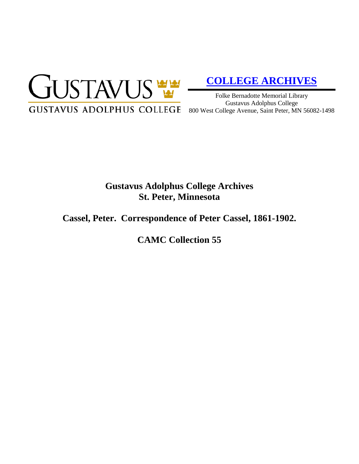

# **[COLLEGE ARCHIVES](http://gustavus.edu/academics/library/archives/)**

Folke Bernadotte Memorial Library Gustavus Adolphus College 800 West College Avenue, Saint Peter, MN 56082-1498

## **Gustavus Adolphus College Archives St. Peter, Minnesota**

### **Cassel, Peter. Correspondence of Peter Cassel, 1861-1902.**

**CAMC Collection 55**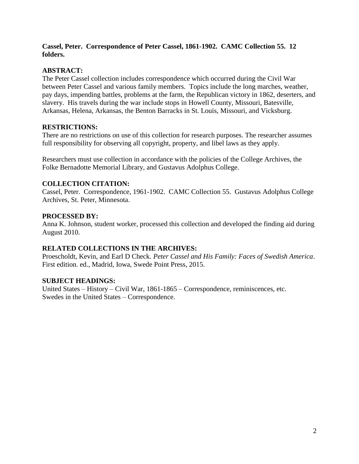#### **Cassel, Peter. Correspondence of Peter Cassel, 1861-1902. CAMC Collection 55. 12 folders.**

#### **ABSTRACT:**

The Peter Cassel collection includes correspondence which occurred during the Civil War between Peter Cassel and various family members. Topics include the long marches, weather, pay days, impending battles, problems at the farm, the Republican victory in 1862, deserters, and slavery. His travels during the war include stops in Howell County, Missouri, Batesville, Arkansas, Helena, Arkansas, the Benton Barracks in St. Louis, Missouri, and Vicksburg.

#### **RESTRICTIONS:**

There are no restrictions on use of this collection for research purposes. The researcher assumes full responsibility for observing all copyright, property, and libel laws as they apply.

Researchers must use collection in accordance with the policies of the College Archives, the Folke Bernadotte Memorial Library, and Gustavus Adolphus College.

#### **COLLECTION CITATION:**

Cassel, Peter. Correspondence, 1961-1902. CAMC Collection 55. Gustavus Adolphus College Archives, St. Peter, Minnesota.

#### **PROCESSED BY:**

Anna K. Johnson, student worker, processed this collection and developed the finding aid during August 2010.

#### **RELATED COLLECTIONS IN THE ARCHIVES:**

Proescholdt, Kevin, and Earl D Check. *Peter Cassel and His Family: Faces of Swedish America*. First edition. ed., Madrid, Iowa, Swede Point Press, 2015.

#### **SUBJECT HEADINGS:**

United States – History – Civil War, 1861-1865 – Correspondence, reminiscences, etc. Swedes in the United States – Correspondence.